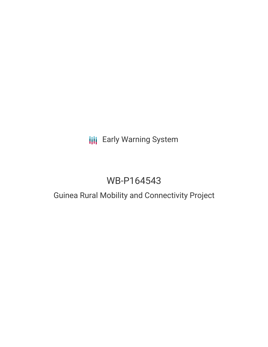# **III** Early Warning System

# WB-P164543

## Guinea Rural Mobility and Connectivity Project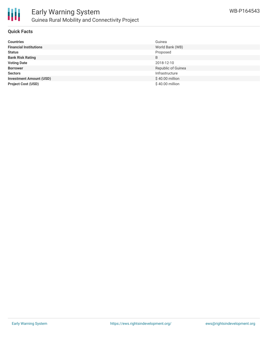

#### **Quick Facts**

| <b>Countries</b>               | Guinea             |
|--------------------------------|--------------------|
| <b>Financial Institutions</b>  | World Bank (WB)    |
| <b>Status</b>                  | Proposed           |
| <b>Bank Risk Rating</b>        | B                  |
| <b>Voting Date</b>             | 2018-12-10         |
| <b>Borrower</b>                | Republic of Guinea |
| <b>Sectors</b>                 | Infrastructure     |
| <b>Investment Amount (USD)</b> | \$40.00 million    |
| <b>Project Cost (USD)</b>      | \$40.00 million    |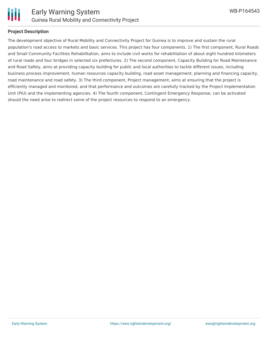

#### **Project Description**

The development objective of Rural Mobility and Connectivity Project for Guinea is to improve and sustain the rural population's road access to markets and basic services. This project has four components. 1) The first component, Rural Roads and Small Community Facilities Rehabilitation, aims to include civil works for rehabilitation of about eight hundred kilometers of rural roads and four bridges in selected six prefectures. 2) The second component, Capacity Building for Road Maintenance and Road Safety, aims at providing capacity building for public and local authorities to tackle different issues, including business process improvement, human resources capacity building, road asset management, planning and financing capacity, road maintenance and road safety. 3) The third component, Project management, aims at ensuring that the project is efficiently managed and monitored, and that performance and outcomes are carefully tracked by the Project Implementation Unit (PIU) and the implementing agencies. 4) The fourth component, Contingent Emergency Response, can be activated should the need arise to redirect some of the project resources to respond to an emergency.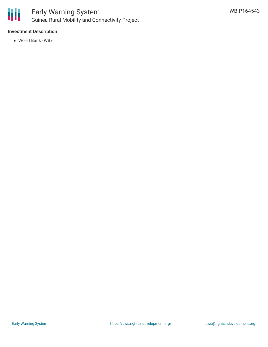

### Early Warning System Guinea Rural Mobility and Connectivity Project

#### **Investment Description**

World Bank (WB)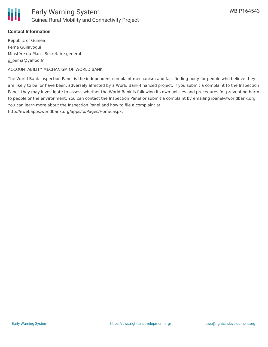

#### **Contact Information**

Republic of Guinea Pema Guilavogui Minstère du Plan - Secretaire general g\_pema@yahoo.fr

ACCOUNTABILITY MECHANISM OF WORLD BANK

The World Bank Inspection Panel is the independent complaint mechanism and fact-finding body for people who believe they are likely to be, or have been, adversely affected by a World Bank-financed project. If you submit a complaint to the Inspection Panel, they may investigate to assess whether the World Bank is following its own policies and procedures for preventing harm to people or the environment. You can contact the Inspection Panel or submit a complaint by emailing ipanel@worldbank.org. You can learn more about the Inspection Panel and how to file a complaint at:

http://ewebapps.worldbank.org/apps/ip/Pages/Home.aspx.